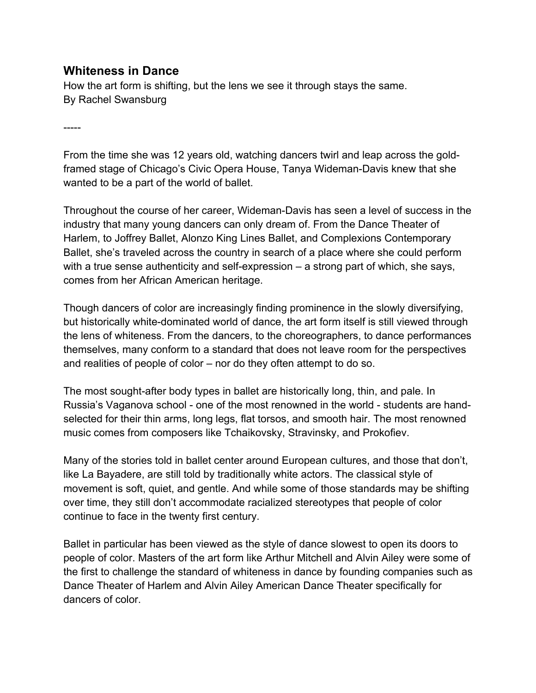## **Whiteness in Dance**

How the art form is shifting, but the lens we see it through stays the same. By Rachel Swansburg

-----

From the time she was 12 years old, watching dancers twirl and leap across the goldframed stage of Chicago's Civic Opera House, Tanya Wideman-Davis knew that she wanted to be a part of the world of ballet.

Throughout the course of her career, Wideman-Davis has seen a level of success in the industry that many young dancers can only dream of. From the Dance Theater of Harlem, to Joffrey Ballet, Alonzo King Lines Ballet, and Complexions Contemporary Ballet, she's traveled across the country in search of a place where she could perform with a true sense authenticity and self-expression – a strong part of which, she says, comes from her African American heritage.

Though dancers of color are increasingly finding prominence in the slowly diversifying, but historically white-dominated world of dance, the art form itself is still viewed through the lens of whiteness. From the dancers, to the choreographers, to dance performances themselves, many conform to a standard that does not leave room for the perspectives and realities of people of color – nor do they often attempt to do so.

The most sought-after body types in ballet are historically long, thin, and pale. In Russia's Vaganova school - one of the most renowned in the world - students are handselected for their thin arms, long legs, flat torsos, and smooth hair. The most renowned music comes from composers like Tchaikovsky, Stravinsky, and Prokofiev.

Many of the stories told in ballet center around European cultures, and those that don't, like La Bayadere, are still told by traditionally white actors. The classical style of movement is soft, quiet, and gentle. And while some of those standards may be shifting over time, they still don't accommodate racialized stereotypes that people of color continue to face in the twenty first century.

Ballet in particular has been viewed as the style of dance slowest to open its doors to people of color. Masters of the art form like Arthur Mitchell and Alvin Ailey were some of the first to challenge the standard of whiteness in dance by founding companies such as Dance Theater of Harlem and Alvin Ailey American Dance Theater specifically for dancers of color.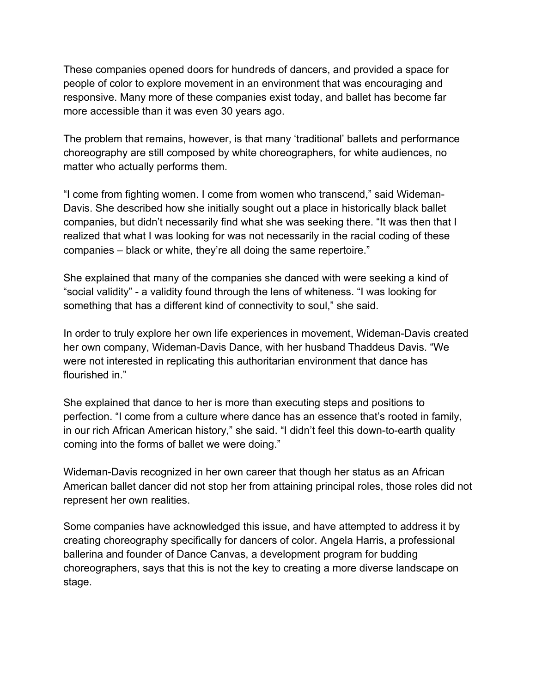These companies opened doors for hundreds of dancers, and provided a space for people of color to explore movement in an environment that was encouraging and responsive. Many more of these companies exist today, and ballet has become far more accessible than it was even 30 years ago.

The problem that remains, however, is that many 'traditional' ballets and performance choreography are still composed by white choreographers, for white audiences, no matter who actually performs them.

"I come from fighting women. I come from women who transcend," said Wideman-Davis. She described how she initially sought out a place in historically black ballet companies, but didn't necessarily find what she was seeking there. "It was then that I realized that what I was looking for was not necessarily in the racial coding of these companies – black or white, they're all doing the same repertoire."

She explained that many of the companies she danced with were seeking a kind of "social validity" - a validity found through the lens of whiteness. "I was looking for something that has a different kind of connectivity to soul," she said.

In order to truly explore her own life experiences in movement, Wideman-Davis created her own company, Wideman-Davis Dance, with her husband Thaddeus Davis. "We were not interested in replicating this authoritarian environment that dance has flourished in."

She explained that dance to her is more than executing steps and positions to perfection. "I come from a culture where dance has an essence that's rooted in family, in our rich African American history," she said. "I didn't feel this down-to-earth quality coming into the forms of ballet we were doing."

Wideman-Davis recognized in her own career that though her status as an African American ballet dancer did not stop her from attaining principal roles, those roles did not represent her own realities.

Some companies have acknowledged this issue, and have attempted to address it by creating choreography specifically for dancers of color. Angela Harris, a professional ballerina and founder of Dance Canvas, a development program for budding choreographers, says that this is not the key to creating a more diverse landscape on stage.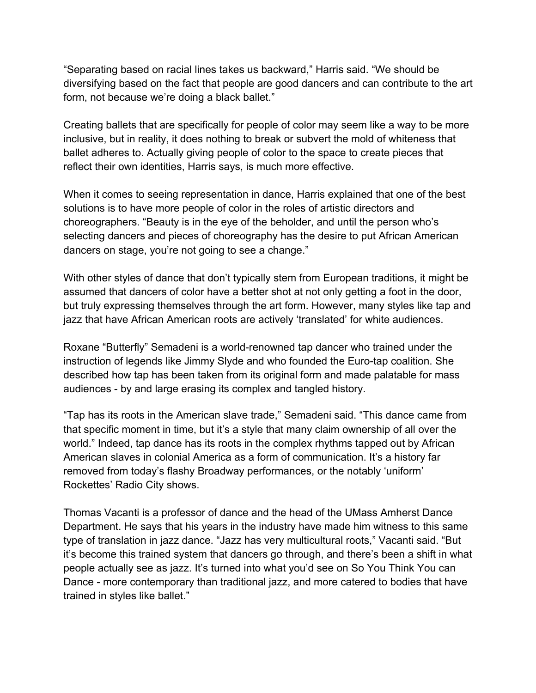"Separating based on racial lines takes us backward," Harris said. "We should be diversifying based on the fact that people are good dancers and can contribute to the art form, not because we're doing a black ballet."

Creating ballets that are specifically for people of color may seem like a way to be more inclusive, but in reality, it does nothing to break or subvert the mold of whiteness that ballet adheres to. Actually giving people of color to the space to create pieces that reflect their own identities, Harris says, is much more effective.

When it comes to seeing representation in dance, Harris explained that one of the best solutions is to have more people of color in the roles of artistic directors and choreographers. "Beauty is in the eye of the beholder, and until the person who's selecting dancers and pieces of choreography has the desire to put African American dancers on stage, you're not going to see a change."

With other styles of dance that don't typically stem from European traditions, it might be assumed that dancers of color have a better shot at not only getting a foot in the door, but truly expressing themselves through the art form. However, many styles like tap and jazz that have African American roots are actively 'translated' for white audiences.

Roxane "Butterfly" Semadeni is a world-renowned tap dancer who trained under the instruction of legends like Jimmy Slyde and who founded the Euro-tap coalition. She described how tap has been taken from its original form and made palatable for mass audiences - by and large erasing its complex and tangled history.

"Tap has its roots in the American slave trade," Semadeni said. "This dance came from that specific moment in time, but it's a style that many claim ownership of all over the world." Indeed, tap dance has its roots in the complex rhythms tapped out by African American slaves in colonial America as a form of communication. It's a history far removed from today's flashy Broadway performances, or the notably 'uniform' Rockettes' Radio City shows.

Thomas Vacanti is a professor of dance and the head of the UMass Amherst Dance Department. He says that his years in the industry have made him witness to this same type of translation in jazz dance. "Jazz has very multicultural roots," Vacanti said. "But it's become this trained system that dancers go through, and there's been a shift in what people actually see as jazz. It's turned into what you'd see on So You Think You can Dance - more contemporary than traditional jazz, and more catered to bodies that have trained in styles like ballet."